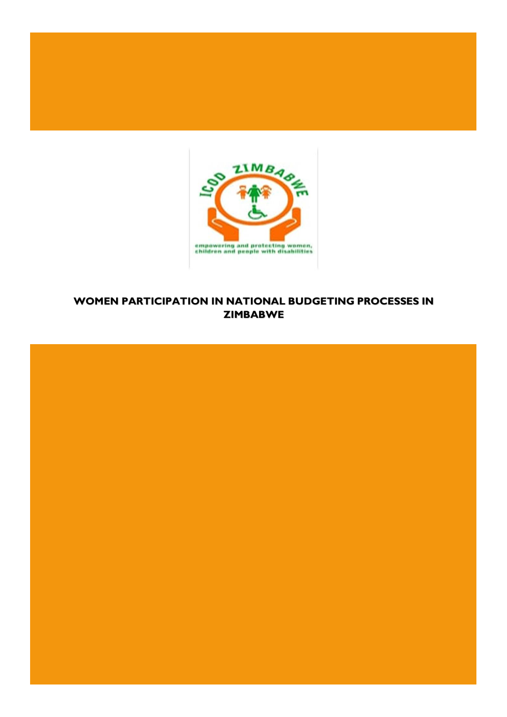

# **WOMEN PARTICIPATION IN NATIONAL BUDGETING PROCESSES IN ZIMBABWE**

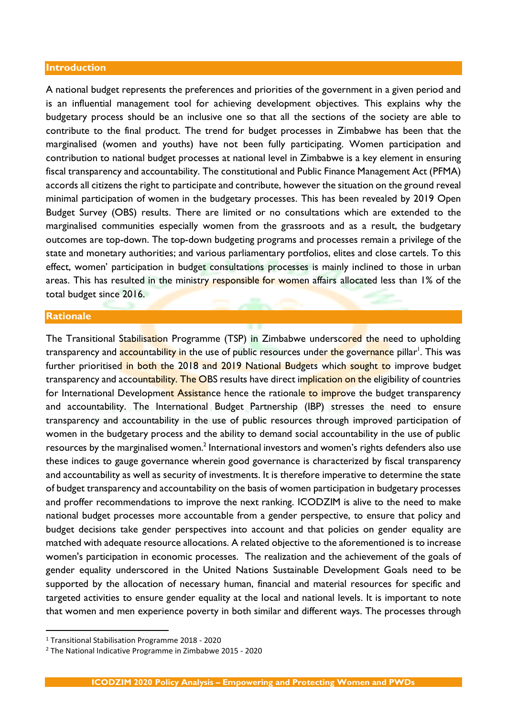#### **Introduction**

A national budget represents the preferences and priorities of the government in a given period and is an influential management tool for achieving development objectives. This explains why the budgetary process should be an inclusive one so that all the sections of the society are able to contribute to the final product. The trend for budget processes in Zimbabwe has been that the marginalised (women and youths) have not been fully participating. Women participation and contribution to national budget processes at national level in Zimbabwe is a key element in ensuring fiscal transparency and accountability. The constitutional and Public Finance Management Act (PFMA) accords all citizens the right to participate and contribute, however the situation on the ground reveal minimal participation of women in the budgetary processes. This has been revealed by 2019 Open Budget Survey (OBS) results. There are limited or no consultations which are extended to the marginalised communities especially women from the grassroots and as a result, the budgetary outcomes are top-down. The top-down budgeting programs and processes remain a privilege of the state and monetary authorities; and various parliamentary portfolios, elites and close cartels. To this effect, women' participation in budget consultations processes is mainly inclined to those in urban areas. This has resulted in the ministry responsible for women affairs allocated less than 1% of the total budget since 2016.

#### **Rationale**

The Transitional Stabilisation Programme (TSP) in Zimbabwe underscored the need to upholding transparency and <mark>accou</mark>ntability in the use of public resources under the gove<mark>rnanc</mark>e pillar<sup>1</sup>. This was further prioritised in both the 2018 and 2019 National Budgets which sought to improve budget transparency and accountability. The OBS results have direct implication on the eligibility of countries for International Development Assistance hence the rationale to improve the budget transparency and accountability. The International Budget Partnership (IBP) stresses the need to ensure transparency and accountability in the use of public resources through improved participation of women in the budgetary process and the ability to demand social accountability in the use of public resources by the marginalised women.<sup>2</sup> International investors and women's rights defenders also use these indices to gauge governance wherein good governance is characterized by fiscal transparency and accountability as well as security of investments. It is therefore imperative to determine the state of budget transparency and accountability on the basis of women participation in budgetary processes and proffer recommendations to improve the next ranking. ICODZIM is alive to the need to make national budget processes more accountable from a gender perspective, to ensure that policy and budget decisions take gender perspectives into account and that policies on gender equality are matched with adequate resource allocations. A related objective to the aforementioned is to increase women's participation in economic processes. The realization and the achievement of the goals of gender equality underscored in the United Nations Sustainable Development Goals need to be supported by the allocation of necessary human, financial and material resources for specific and targeted activities to ensure gender equality at the local and national levels. It is important to note that women and men experience poverty in both similar and different ways. The processes through

<sup>1</sup> Transitional Stabilisation Programme 2018 - 2020

<sup>2</sup> The National Indicative Programme in Zimbabwe 2015 - 2020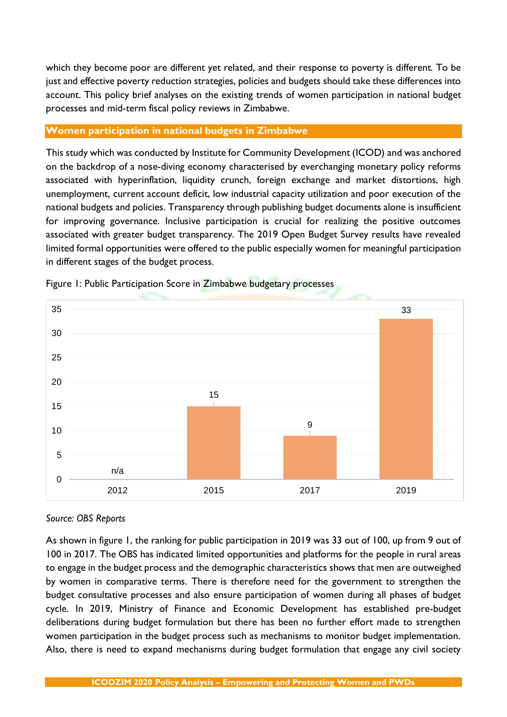which they become poor are different yet related, and their response to poverty is different. To be just and effective poverty reduction strategies, policies and budgets should take these differences into account. This policy brief analyses on the existing trends of women participation in national budget processes and mid-term fiscal policy reviews in Zimbabwe.

## **Women participation in national budgets in Zimbabwe**

This study which was conducted by Institute for Community Development (ICOD) and was anchored on the backdrop of a nose-diving economy characterised by everchanging monetary policy reforms associated with hyperinflation, liquidity crunch, foreign exchange and market distortions, high unemployment, current account deficit, low industrial capacity utilization and poor execution of the national budgets and policies. Transparency through publishing budget documents alone is insufficient for improving governance. Inclusive participation is crucial for realizing the positive outcomes associated with greater budget transparency. The 2019 Open Budget Survey results have revealed limited formal opportunities were offered to the public especially women for meaningful participation in different stages of the budget process.



Figure 1: Public Participation Score in Zimbabwe budgetary processes

# *Source: OBS Reports*

As shown in figure 1, the ranking for public participation in 2019 was 33 out of 100, up from 9 out of 100 in 2017. The OBS has indicated limited opportunities and platforms for the people in rural areas to engage in the budget process and the demographic characteristics shows that men are outweighed by women in comparative terms. There is therefore need for the government to strengthen the budget consultative processes and also ensure participation of women during all phases of budget cycle. In 2019, Ministry of Finance and Economic Development has established pre-budget deliberations during budget formulation but there has been no further effort made to strengthen women participation in the budget process such as mechanisms to monitor budget implementation. Also, there is need to expand mechanisms during budget formulation that engage any civil society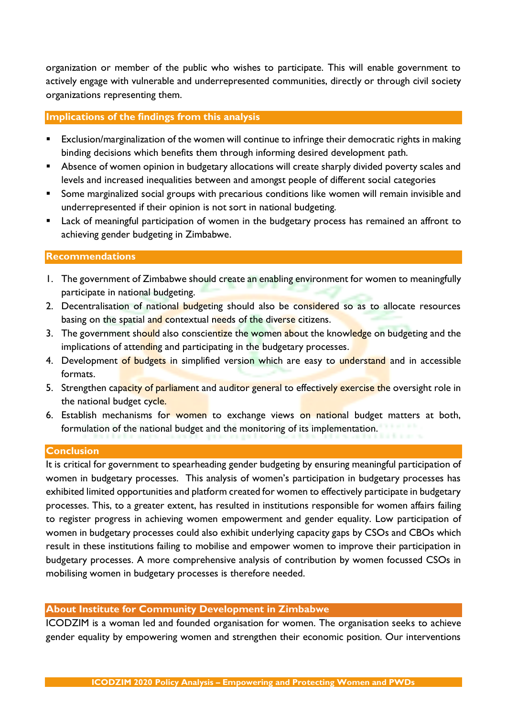organization or member of the public who wishes to participate. This will enable government to actively engage with vulnerable and underrepresented communities, directly or through civil society organizations representing them.

#### **Implications of the findings from this analysis**

- Exclusion/marginalization of the women will continue to infringe their democratic rights in making binding decisions which benefits them through informing desired development path.
- Absence of women opinion in budgetary allocations will create sharply divided poverty scales and levels and increased inequalities between and amongst people of different social categories
- Some marginalized social groups with precarious conditions like women will remain invisible and underrepresented if their opinion is not sort in national budgeting.
- Lack of meaningful participation of women in the budgetary process has remained an affront to achieving gender budgeting in Zimbabwe.

#### **Recommendations**

- 1. The government of Zimbabwe should create an enabling environment for women to meaningfully participate in national budgeting.
- 2. Decentralisation of national budgeting should also be considered so as to allocate resources basing on the spatial and contextual needs of the diverse citizens.
- 3. The government should also conscientize the women about the knowledge on budgeting and the implications of attending and participating in the budgetary processes.
- 4. Development of budgets in simplified version which are easy to understand and in accessible formats.
- 5. Strengthen capacity of parliament and auditor general to effectively exercise the oversight role in the national budget cycle.
- 6. Establish mechanisms for women to exchange views on national budget matters at both, formulation of the national budget and the monitoring of its implementation.

### **Conclusion**

It is critical for government to spearheading gender budgeting by ensuring meaningful participation of women in budgetary processes. This analysis of women's participation in budgetary processes has exhibited limited opportunities and platform created for women to effectively participate in budgetary processes. This, to a greater extent, has resulted in institutions responsible for women affairs failing to register progress in achieving women empowerment and gender equality. Low participation of women in budgetary processes could also exhibit underlying capacity gaps by CSOs and CBOs which result in these institutions failing to mobilise and empower women to improve their participation in budgetary processes. A more comprehensive analysis of contribution by women focussed CSOs in mobilising women in budgetary processes is therefore needed.

### **About Institute for Community Development in Zimbabwe**

ICODZIM is a woman led and founded organisation for women. The organisation seeks to achieve gender equality by empowering women and strengthen their economic position. Our interventions